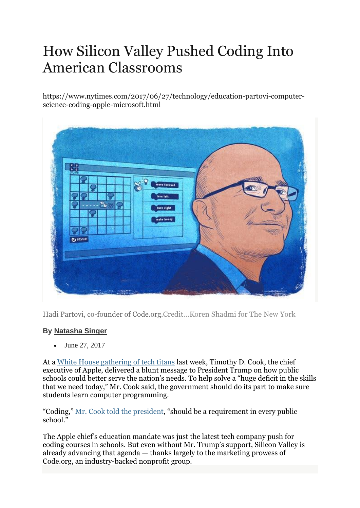# How Silicon Valley Pushed Coding Into American Classrooms

https://www.nytimes.com/2017/06/27/technology/education-partovi-computerscience-coding-apple-microsoft.html

| 88            |         |                                 |  |
|---------------|---------|---------------------------------|--|
|               |         | move forward<br>¢<br>turn left. |  |
|               | Te<br>м | turn right                      |  |
|               |         | make honey                      |  |
| <b>DESSET</b> |         |                                 |  |

Hadi Partovi, co-founder of Code.org.Credit...Koren Shadmi for The New York

# **By [Natasha](https://www.nytimes.com/by/natasha-singer) Singer**

• June 27, 2017

At a White House [gathering](https://www.nytimes.com/2017/06/19/technology/technology-forum-white-house.html) of tech titans last week, Timothy D. Cook, the chief executive of Apple, delivered a blunt message to President Trump on how public schools could better serve the nation's needs. To help solve a "huge deficit in the skills that we need today," Mr. Cook said, the government should do its part to make sure students learn computer programming.

"Coding," Mr. Cook told the [president](https://www.youtube.com/watch?v=dKUU9VavTjE), "should be a requirement in every public school.<sup>"</sup>

The Apple chief's education mandate was just the latest tech company push for coding courses in schools. But even without Mr. Trump's support, Silicon Valley is already advancing that agenda — thanks largely to the marketing prowess of Code.org, an industry-backed nonprofit group.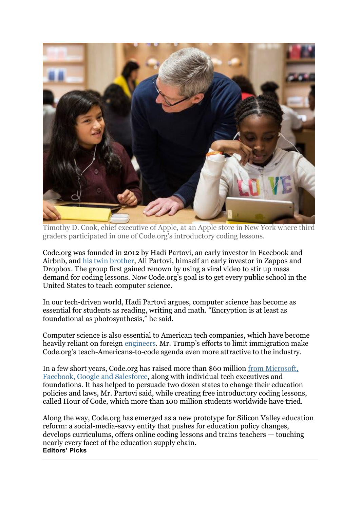

Timothy D. Cook, chief executive of Apple, at an Apple store in New York where third graders participated in one of Code.org's introductory coding lessons.

Code.org was founded in 2012 by Hadi Partovi, an early investor in Facebook and Airbnb, and his twin [brother,](http://www.mercurynews.com/2014/03/07/partovi-twins-quietly-emerge-as-top-silicon-valley-angel-investors/) Ali Partovi, himself an early investor in Zappos and Dropbox. The group first gained renown by using a viral video to stir up mass demand for coding lessons. Now Code.org's goal is to get every public school in the United States to teach computer science.

In our tech-driven world, Hadi Partovi argues, computer science has become as essential for students as reading, writing and math. "Encryption is at least as foundational as photosynthesis," he said.

Computer science is also essential to American tech companies, which have become heavily reliant on foreign [engineers](https://www.nytimes.com/2021/04/13/technology/racist-computer-engineering-terms-ietf.html). Mr. Trump's efforts to limit immigration make Code.org's teach-Americans-to-code agenda even more attractive to the industry.

In a few short years, Code.org has raised more than \$60 million from [Microsoft,](https://code.org/about/donors) Facebook, Google and [Salesforce,](https://code.org/about/donors) along with individual tech executives and foundations. It has helped to persuade two dozen states to change their education policies and laws, Mr. Partovi said, while creating free introductory coding lessons, called Hour of Code, which more than 100 million students worldwide have tried.

Along the way, Code.org has emerged as a new prototype for Silicon Valley education reform: a social-media-savvy entity that pushes for education policy changes, develops curriculums, offers online coding lessons and trains teachers — touching nearly every facet of the education supply chain. **Editors' Picks**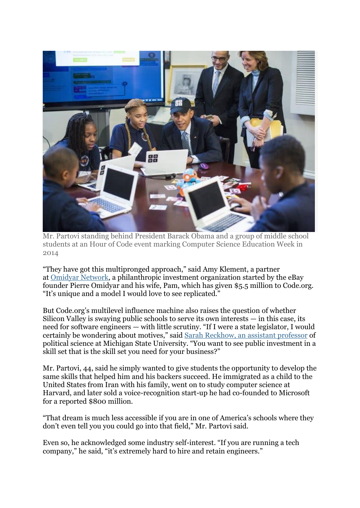

Mr. Partovi standing behind President Barack Obama and a group of middle school students at an Hour of Code event marking Computer Science Education Week in 2014

"They have got this multipronged approach," said Amy Klement, a partner at Omidyar [Network,](https://www.omidyar.com/investment-approach) a philanthropic investment organization started by the eBay founder Pierre Omidyar and his wife, Pam, which has given \$5.5 million to Code.org. "It's unique and a model I would love to see replicated."

But Code.org's multilevel influence machine also raises the question of whether Silicon Valley is swaying public schools to serve its own interests  $-$  in this case, its need for software engineers — with little scrutiny. "If I were a state legislator, I would certainly be wondering about motives," said Sarah [Reckhow,](http://polisci.msu.edu/people/sarah-reckhow/) an assistant professor of political science at Michigan State University. "You want to see public investment in a skill set that is the skill set you need for your business?"

Mr. Partovi, 44, said he simply wanted to give students the opportunity to develop the same skills that helped him and his backers succeed. He immigrated as a child to the United States from Iran with his family, went on to study computer science at Harvard, and later sold a voice-recognition start-up he had co-founded to Microsoft for a reported \$800 million.

"That dream is much less accessible if you are in one of America's schools where they don't even tell you you could go into that field," Mr. Partovi said.

Even so, he acknowledged some industry self-interest. "If you are running a tech company," he said, "it's extremely hard to hire and retain engineers."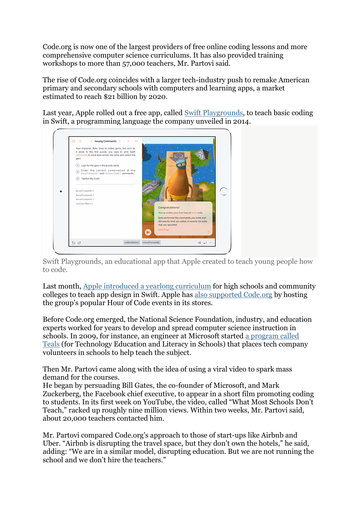Code.org is now one of the largest providers of free online coding lessons and more comprehensive computer science curriculums. It has also provided training workshops to more than 57,000 teachers, Mr. Partovi said.

The rise of Code.org coincides with a larger tech-industry push to remake American primary and secondary schools with computers and learning apps, a market estimated to reach \$21 billion by 2020.

Last year, Apple rolled out a free app, called Swift [Playgrounds,](https://www.nytimes.com/2016/09/13/technology/apple-coding-app-swift-playgrounds.html) to teach basic coding in Swift, a programming language the company unveiled in 2014.

| Your character, Byte, loves to collect gems, but can't do<br>it alone. In this first puzzle, you need to write Swift<br>commands to move Byte across the world and collect the<br>gem. |                                                                                                                                                                     |
|----------------------------------------------------------------------------------------------------------------------------------------------------------------------------------------|---------------------------------------------------------------------------------------------------------------------------------------------------------------------|
| (1) Look for the gem in the puzzle world.                                                                                                                                              |                                                                                                                                                                     |
| Enter the correct combination of the<br>⊚<br>moveForward() and collectGem() commands.                                                                                                  |                                                                                                                                                                     |
| (3) Tap Run My Code.<br>moveForward()<br>moveForward()<br>moveForward()<br>collectGem()                                                                                                | Congratulations!<br>You've written your first lines of Swift code.<br>Byte performed the commands you wrote and<br>did exactly what you asked, in exactly the order |
|                                                                                                                                                                                        | that you specified.                                                                                                                                                 |

Swift Playgrounds, an educational app that Apple created to teach young people how to code.

Last month, Apple introduced a yearlong [curriculum](https://www.apple.com/newsroom/2017/05/apple-launches-app-development-curriculum-for-high-school-community-college-students/) for high schools and community colleges to teach app design in Swift. Apple has also [supported](https://www.apple.com/newsroom/2016/11/free-hour-of-code-workshops-december-5-through-11-at-every-apple-store/) Code.org by hosting the group's popular Hour of Code events in its stores.

Before Code.org emerged, the National Science Foundation, industry, and education experts worked for years to develop and spread computer science instruction in schools. In 2009, for instance, an engineer at Microsoft started a [program](https://www.tealsk12.org/about/) called [Teals](https://www.tealsk12.org/about/) (for Technology Education and Literacy in Schools) that places tech company volunteers in schools to help teach the subject.

Then Mr. Partovi came along with the idea of using a viral video to spark mass demand for the courses.

He began by persuading Bill Gates, the co-founder of Microsoft, and Mark Zuckerberg, the Facebook chief executive, to appear in a short film promoting coding to students. In its first week on YouTube, the video, called "What Most Schools Don't Teach," racked up roughly nine million views. Within two weeks, Mr. Partovi said, about 20,000 teachers contacted him.

Mr. Partovi compared Code.org's approach to those of start-ups like Airbnb and Uber. "Airbnb is disrupting the travel space, but they don't own the hotels," he said, adding: "We are in a similar model, disrupting education. But we are not running the school and we don't hire the teachers."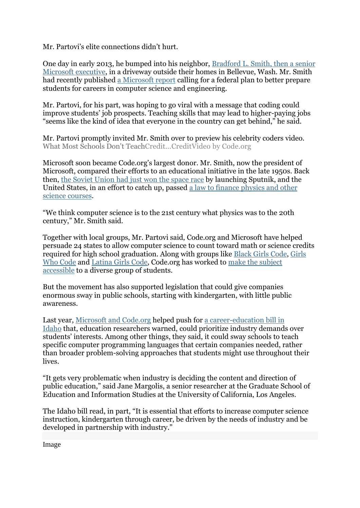Mr. Partovi's elite connections didn't hurt.

One day in early 2013, he bumped into his neighbor, [Bradford](https://www.nytimes.com/2014/07/21/technology/microsofts-top-lawyer-is-the-tech-worlds-envoy.html) L. Smith, then a senior Microsoft [executive,](https://www.nytimes.com/2014/07/21/technology/microsofts-top-lawyer-is-the-tech-worlds-envoy.html) in a driveway outside their homes in Bellevue, Wash. Mr. Smith had recently published a [Microsoft](https://news.microsoft.com/download/presskits/citizenship/MSNTS.pdf) report calling for a federal plan to better prepare students for careers in computer science and engineering.

Mr. Partovi, for his part, was hoping to go viral with a message that coding could improve students' job prospects. Teaching skills that may lead to higher-paying jobs "seems like the kind of idea that everyone in the country can get behind," he said.

Mr. Partovi promptly invited Mr. Smith over to preview his celebrity coders video. What Most Schools Don't TeachCredit...CreditVideo by Code.org

Microsoft soon became Code.org's largest donor. Mr. Smith, now the president of Microsoft, compared their efforts to an educational initiative in the late 1950s. Back then, the Soviet [Union](http://www.nytimes.com/learning/general/onthisday/big/1004.html) had just won the space race by launching Sputnik, and the United States, in an effort to catch up, passed a law to finance [physics](http://query.nytimes.com/mem/archive-free/pdf?res=9505E2D9123EEF3ABC4E51DFB066838B679EDE) and other science [courses.](http://query.nytimes.com/mem/archive-free/pdf?res=9505E2D9123EEF3ABC4E51DFB066838B679EDE)

"We think computer science is to the 21st century what physics was to the 20th century," Mr. Smith said.

Together with local groups, Mr. Partovi said, Code.org and Microsoft have helped persuade 24 states to allow computer science to count toward math or science credits required for high school graduation. Along with groups like Black Girls [Code,](http://www.blackgirlscode.com/about-bgc.html) [Girls](https://girlswhocode.com/about-us/#our-mission) Who [Code](https://girlswhocode.com/about-us/#our-mission) and [Latina](http://www.latinagirlscode.org/about/) Girls Code, Code.org has worked to make the [subject](https://code.org/educate/csd) [accessible](https://code.org/educate/csd) to a diverse group of students.

But the movement has also supported legislation that could give companies enormous sway in public schools, starting with kindergarten, with little public awareness.

Last year, [Microsoft](http://www.sos.idaho.gov/elect/lobbyist/2016/emplob.pdf) and Code.org helped push for a [career-education](https://legislature.idaho.gov/wp-content/uploads/sessioninfo/2016/legislation/H0379.pdf) bill in [Idaho](https://legislature.idaho.gov/wp-content/uploads/sessioninfo/2016/legislation/H0379.pdf) that, education researchers warned, could prioritize industry demands over students' interests. Among other things, they said, it could sway schools to teach specific computer programming languages that certain companies needed, rather than broader problem-solving approaches that students might use throughout their lives.

"It gets very problematic when industry is deciding the content and direction of public education," said Jane Margolis, a senior researcher at the Graduate School of Education and Information Studies at the University of California, Los Angeles.

The Idaho bill read, in part, "It is essential that efforts to increase computer science instruction, kindergarten through career, be driven by the needs of industry and be developed in partnership with industry."

Image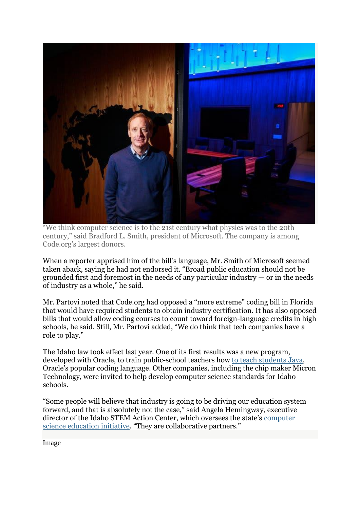

"We think computer science is to the 21st century what physics was to the 20th century," said Bradford L. Smith, president of Microsoft. The company is among Code.org's largest donors.

When a reporter apprised him of the bill's language, Mr. Smith of Microsoft seemed taken aback, saying he had not endorsed it. "Broad public education should not be grounded first and foremost in the needs of any particular industry  $-$  or in the needs of industry as a whole," he said.

Mr. Partovi noted that Code.org had opposed a "more extreme" coding bill in Florida that would have required students to obtain industry certification. It has also opposed bills that would allow coding courses to count toward foreign-language credits in high schools, he said. Still, Mr. Partovi added, "We do think that tech companies have a role to play."

The Idaho law took effect last year. One of its first results was a new program, developed with Oracle, to train public-school teachers how to teach [students](https://stem.idaho.gov/wp-content/uploads/sites/3/2016/10/August-2016-Newsletter-Idaho-STEM-Action-Center.pdf) Java, Oracle's popular coding language. Other companies, including the chip maker Micron Technology, were invited to help develop computer science standards for Idaho schools.

"Some people will believe that industry is going to be driving our education system forward, and that is absolutely not the case," said Angela Hemingway, executive director of the Idaho STEM Action Center, which oversees the state's [computer](https://stem.idaho.gov/computer-science/) science [education](https://stem.idaho.gov/computer-science/) initiative. "They are collaborative partners."

Image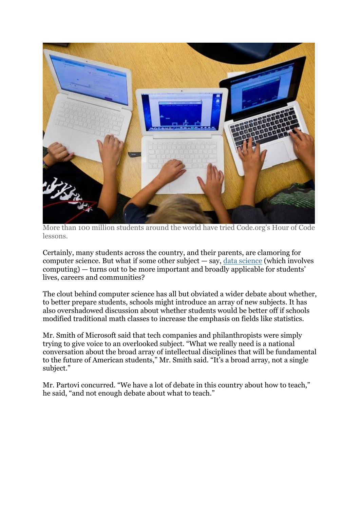

More than 100 million students around the world have tried Code.org's Hour of Code lessons.

Certainly, many students across the country, and their parents, are clamoring for computer [science](http://www.latimes.com/local/education/la-me-lausd-data-science-20150423-story.html). But what if some other subject  $-$  say, data science (which involves computing) — turns out to be more important and broadly applicable for students' lives, careers and communities?

The clout behind computer science has all but obviated a wider debate about whether, to better prepare students, schools might introduce an array of new subjects. It has also overshadowed discussion about whether students would be better off if schools modified traditional math classes to increase the emphasis on fields like statistics.

Mr. Smith of Microsoft said that tech companies and philanthropists were simply trying to give voice to an overlooked subject. "What we really need is a national conversation about the broad array of intellectual disciplines that will be fundamental to the future of American students," Mr. Smith said. "It's a broad array, not a single subject."

Mr. Partovi concurred. "We have a lot of debate in this country about how to teach," he said, "and not enough debate about what to teach."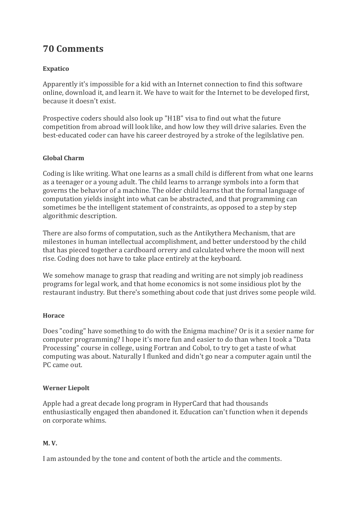# **70 Comments**

# **Expatico**

Apparently it's impossible for a kid with an Internet connection to find this software online, download it, and learn it. We have to wait for the Internet to be developed first, because it doesn't exist.

Prospective coders should also look up "H1B" visa to find out what the future competition from abroad will look like, and how low they will drive salaries. Even the best-educated coder can have his career destroyed by a stroke of the legilslative pen.

# **Global Charm**

Coding is like writing. What one learns as a small child is different from what one learns as a teenager or a young adult. The child learns to arrange symbols into a form that governs the behavior of a machine. The older child learns that the formal language of computation yields insight into what can be abstracted, and that programming can sometimes be the intelligent statement of constraints, as opposed to a step by step algorithmic description.

There are also forms of computation, such as the Antikythera Mechanism, that are milestones in human intellectual accomplishment, and better understood by the child that has pieced together a cardboard orrery and calculated where the moon will next rise. Coding does not have to take place entirely at the keyboard.

We somehow manage to grasp that reading and writing are not simply job readiness programs for legal work, and that home economics is not some insidious plot by the restaurant industry. But there's something about code that just drives some people wild.

#### **Horace**

Does "coding" have something to do with the Enigma machine? Or is it a sexier name for computer programming? I hope it's more fun and easier to do than when I took a "Data Processing" course in college, using Fortran and Cobol, to try to get a taste of what computing was about. Naturally I flunked and didn't go near a computer again until the PC came out.

# **Werner Liepolt**

Apple had a great decade long program in HyperCard that had thousands enthusiastically engaged then abandoned it. Education can't function when it depends on corporate whims.

# **M. V.**

I am astounded by the tone and content of both the article and the comments.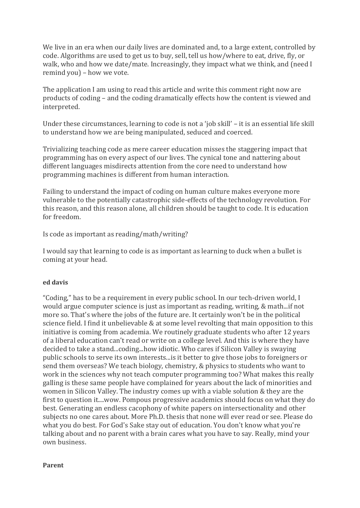We live in an era when our daily lives are dominated and, to a large extent, controlled by code. Algorithms are used to get us to buy, sell, tell us how/where to eat, drive, fly, or walk, who and how we date/mate. Increasingly, they impact what we think, and (need I remind you) – how we vote.

The application I am using to read this article and write this comment right now are products of coding – and the coding dramatically effects how the content is viewed and interpreted.

Under these circumstances, learning to code is not a 'job skill' – it is an essential life skill to understand how we are being manipulated, seduced and coerced.

Trivializing teaching code as mere career education misses the staggering impact that programming has on every aspect of our lives. The cynical tone and nattering about different languages misdirects attention from the core need to understand how programming machines is different from human interaction.

Failing to understand the impact of coding on human culture makes everyone more vulnerable to the potentially catastrophic side-effects of the technology revolution. For this reason, and this reason alone, all children should be taught to code. It is education for freedom.

Is code as important as reading/math/writing?

I would say that learning to code is as important as learning to duck when a bullet is coming at your head.

#### **ed davis**

"Coding," has to be a requirement in every public school. In our tech-driven world, I would argue computer science is just as important as reading, writing, & math...if not more so. That's where the jobs of the future are. It certainly won't be in the political science field. I find it unbelievable & at some level revolting that main opposition to this initiative is coming from academia. We routinely graduate students who after 12 years of a liberal education can't read or write on a college level. And this is where they have decided to take a stand...coding...how idiotic. Who cares if Silicon Valley is swaying public schools to serve its own interests...is it better to give those jobs to foreigners or send them overseas? We teach biology, chemistry, & physics to students who want to work in the sciences why not teach computer programming too? What makes this really galling is these same people have complained for years about the lack of minorities and women in Silicon Valley. The industry comes up with a viable solution & they are the first to question it....wow. Pompous progressive academics should focus on what they do best. Generating an endless cacophony of white papers on intersectionality and other subjects no one cares about. More Ph.D. thesis that none will ever read or see. Please do what you do best. For God's Sake stay out of education. You don't know what you're talking about and no parent with a brain cares what you have to say. Really, mind your own business.

#### **Parent**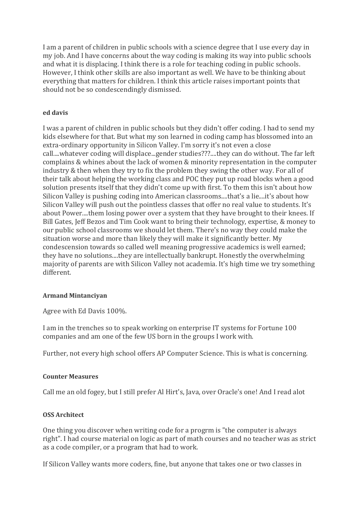I am a parent of children in public schools with a science degree that I use every day in my job. And I have concerns about the way coding is making its way into public schools and what it is displacing. I think there is a role for teaching coding in public schools. However, I think other skills are also important as well. We have to be thinking about everything that matters for children. I think this article raises important points that should not be so condescendingly dismissed.

# **ed davis**

I was a parent of children in public schools but they didn't offer coding. I had to send my kids elsewhere for that. But what my son learned in coding camp has blossomed into an extra-ordinary opportunity in Silicon Valley. I'm sorry it's not even a close call....whatever coding will displace...gender studies???....they can do without. The far left complains & whines about the lack of women & minority representation in the computer industry & then when they try to fix the problem they swing the other way. For all of their talk about helping the working class and POC they put up road blocks when a good solution presents itself that they didn't come up with first. To them this isn't about how Silicon Valley is pushing coding into American classrooms....that's a lie....it's about how Silicon Valley will push out the pointless classes that offer no real value to students. It's about Power....them losing power over a system that they have brought to their knees. If Bill Gates, Jeff Bezos and Tim Cook want to bring their technology, expertise, & money to our public school classrooms we should let them. There's no way they could make the situation worse and more than likely they will make it significantly better. My condescension towards so called well meaning progressive academics is well earned; they have no solutions....they are intellectually bankrupt. Honestly the overwhelming majority of parents are with Silicon Valley not academia. It's high time we try something different.

#### **Armand Mintanciyan**

Agree with Ed Davis 100%.

I am in the trenches so to speak working on enterprise IT systems for Fortune 100 companies and am one of the few US born in the groups I work with.

Further, not every high school offers AP Computer Science. This is what is concerning.

#### **Counter Measures**

Call me an old fogey, but I still prefer Al Hirt's, Java, over Oracle's one! And I read alot

#### **OSS Architect**

One thing you discover when writing code for a progrm is "the computer is always right". I had course material on logic as part of math courses and no teacher was as strict as a code compiler, or a program that had to work.

If Silicon Valley wants more coders, fine, but anyone that takes one or two classes in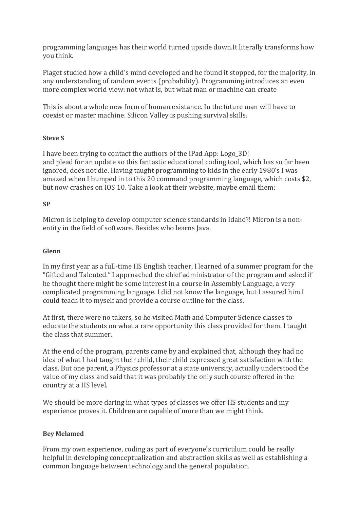programming languages has their world turned upside down.It literally transforms how you think.

Piaget studied how a child's mind developed and he found it stopped, for the majority, in any understanding of random events (probability). Programming introduces an even more complex world view: not what is, but what man or machine can create

This is about a whole new form of human existance. In the future man will have to coexist or master machine. Silicon Valley is pushing survival skills.

# **Steve S**

I have been trying to contact the authors of the IPad App: Logo\_3D! and plead for an update so this fantastic educational coding tool, which has so far been ignored, does not die. Having taught programming to kids in the early 1980's I was amazed when I bumped in to this 20 command programming language, which costs \$2, but now crashes on IOS 10. Take a look at their website, maybe email them:

# **SP**

Micron is helping to develop computer science standards in Idaho?! Micron is a nonentity in the field of software. Besides who learns Java.

# **Glenn**

In my first year as a full-time HS English teacher, I learned of a summer program for the "Gifted and Talented." I approached the chief administrator of the program and asked if he thought there might be some interest in a course in Assembly Language, a very complicated programming language. I did not know the language, but I assured him I could teach it to myself and provide a course outline for the class.

At first, there were no takers, so he visited Math and Computer Science classes to educate the students on what a rare opportunity this class provided for them. I taught the class that summer.

At the end of the program, parents came by and explained that, although they had no idea of what I had taught their child, their child expressed great satisfaction with the class. But one parent, a Physics professor at a state university, actually understood the value of my class and said that it was probably the only such course offered in the country at a HS level.

We should be more daring in what types of classes we offer HS students and my experience proves it. Children are capable of more than we might think.

#### **Bey Melamed**

From my own experience, coding as part of everyone's curriculum could be really helpful in developing conceptualization and abstraction skills as well as establishing a common language between technology and the general population.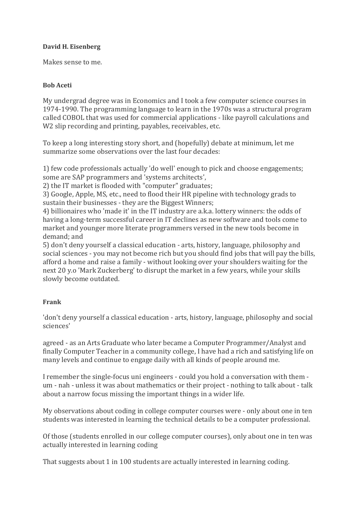#### **David H. Eisenberg**

Makes sense to me.

#### **Bob Aceti**

My undergrad degree was in Economics and I took a few computer science courses in 1974-1990. The programming language to learn in the 1970s was a structural program called COBOL that was used for commercial applications - like payroll calculations and W2 slip recording and printing, payables, receivables, etc.

To keep a long interesting story short, and (hopefully) debate at minimum, let me summarize some observations over the last four decades:

1) few code professionals actually 'do well' enough to pick and choose engagements; some are SAP programmers and 'systems architects',

2) the IT market is flooded with "computer" graduates;

3) Google, Apple, MS, etc., need to flood their HR pipeline with technology grads to sustain their businesses - they are the Biggest Winners;

4) billionaires who 'made it' in the IT industry are a.k.a. lottery winners: the odds of having a long-term successful career in IT declines as new software and tools come to market and younger more literate programmers versed in the new tools become in demand; and

5) don't deny yourself a classical education - arts, history, language, philosophy and social sciences - you may not become rich but you should find jobs that will pay the bills, afford a home and raise a family - without looking over your shoulders waiting for the next 20 y.o 'Mark Zuckerberg' to disrupt the market in a few years, while your skills slowly become outdated.

#### **Frank**

'don't deny yourself a classical education - arts, history, language, philosophy and social sciences'

agreed - as an Arts Graduate who later became a Computer Programmer/Analyst and finally Computer Teacher in a community college, I have had a rich and satisfying life on many levels and continue to engage daily with all kinds of people around me.

I remember the single-focus uni engineers - could you hold a conversation with them um - nah - unless it was about mathematics or their project - nothing to talk about - talk about a narrow focus missing the important things in a wider life.

My observations about coding in college computer courses were - only about one in ten students was interested in learning the technical details to be a computer professional.

Of those (students enrolled in our college computer courses), only about one in ten was actually interested in learning coding

That suggests about 1 in 100 students are actually interested in learning coding.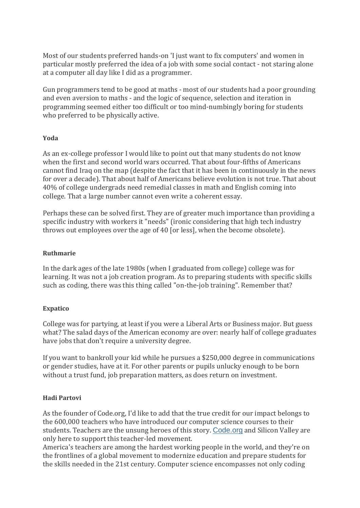Most of our students preferred hands-on 'I just want to fix computers' and women in particular mostly preferred the idea of a job with some social contact - not staring alone at a computer all day like I did as a programmer.

Gun programmers tend to be good at maths - most of our students had a poor grounding and even aversion to maths - and the logic of sequence, selection and iteration in programming seemed either too difficult or too mind-numbingly boring for students who preferred to be physically active.

#### **Yoda**

As an ex-college professor I would like to point out that many students do not know when the first and second world wars occurred. That about four-fifths of Americans cannot find Iraq on the map (despite the fact that it has been in continuously in the news for over a decade). That about half of Americans believe evolution is not true. That about 40% of college undergrads need remedial classes in math and English coming into college. That a large number cannot even write a coherent essay.

Perhaps these can be solved first. They are of greater much importance than providing a specific industry with workers it "needs" (ironic considering that high tech industry throws out employees over the age of 40 [or less], when the become obsolete).

#### **Ruthmarie**

In the dark ages of the late 1980s (when I graduated from college) college was for learning. It was not a job creation program. As to preparing students with specific skills such as coding, there was this thing called "on-the-job training". Remember that?

#### **Expatico**

College was for partying, at least if you were a Liberal Arts or Business major. But guess what? The salad days of the American economy are over: nearly half of college graduates have jobs that don't require a university degree.

If you want to bankroll your kid while he pursues a \$250,000 degree in communications or gender studies, have at it. For other parents or pupils unlucky enough to be born without a trust fund, job preparation matters, as does return on investment.

#### **Hadi Partovi**

As the founder of Code.org, I'd like to add that the true credit for our impact belongs to the 600,000 teachers who have introduced our computer science courses to their students. Teachers are the unsung heroes of this story. [Code.org](http://code.org/) and Silicon Valley are only here to support this teacher-led movement.

America's teachers are among the hardest working people in the world, and they're on the frontlines of a global movement to modernize education and prepare students for the skills needed in the 21st century. Computer science encompasses not only coding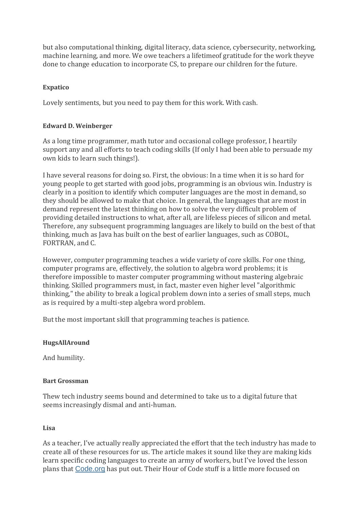but also computational thinking, digital literacy, data science, cybersecurity, networking, machine learning, and more. We owe teachers a lifetimeof gratitude for the work theyve done to change education to incorporate CS, to prepare our children for the future.

# **Expatico**

Lovely sentiments, but you need to pay them for this work. With cash.

# **Edward D. Weinberger**

As a long time programmer, math tutor and occasional college professor, I heartily support any and all efforts to teach coding skills (If only I had been able to persuade my own kids to learn such things!).

I have several reasons for doing so. First, the obvious: In a time when it is so hard for young people to get started with good jobs, programming is an obvious win. Industry is clearly in a position to identify which computer languages are the most in demand, so they should be allowed to make that choice. In general, the languages that are most in demand represent the latest thinking on how to solve the very difficult problem of providing detailed instructions to what, after all, are lifeless pieces of silicon and metal. Therefore, any subsequent programming languages are likely to build on the best of that thinking, much as Java has built on the best of earlier languages, such as COBOL, FORTRAN, and C.

However, computer programming teaches a wide variety of core skills. For one thing, computer programs are, effectively, the solution to algebra word problems; it is therefore impossible to master computer programming without mastering algebraic thinking. Skilled programmers must, in fact, master even higher level "algorithmic thinking," the ability to break a logical problem down into a series of small steps, much as is required by a multi-step algebra word problem.

But the most important skill that programming teaches is patience.

#### **HugsAllAround**

And humility.

#### **Bart Grossman**

Thew tech industry seems bound and determined to take us to a digital future that seems increasingly dismal and anti-human.

#### **Lisa**

As a teacher, I've actually really appreciated the effort that the tech industry has made to create all of these resources for us. The article makes it sound like they are making kids learn specific coding languages to create an army of workers, but I've loved the lesson plans that [Code.org](http://code.org/) has put out. Their Hour of Code stuff is a little more focused on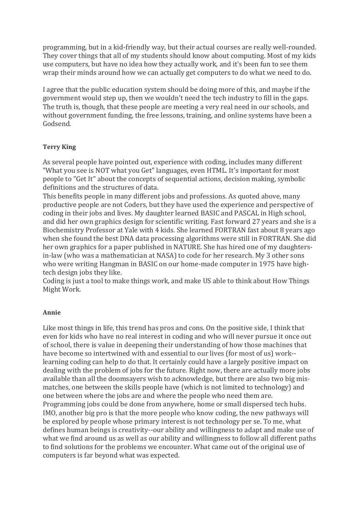programming, but in a kid-friendly way, but their actual courses are really well-rounded. They cover things that all of my students should know about computing. Most of my kids use computers, but have no idea how they actually work, and it's been fun to see them wrap their minds around how we can actually get computers to do what we need to do.

I agree that the public education system should be doing more of this, and maybe if the government would step up, then we wouldn't need the tech industry to fill in the gaps. The truth is, though, that these people are meeting a very real need in our schools, and without government funding, the free lessons, training, and online systems have been a Godsend.

#### **Terry King**

As several people have pointed out, experience with coding, includes many different "What you see is NOT what you Get" languages, even HTML. It's important for most people to "Get It" about the concepts of sequential actions, decision making, symbolic definitions and the structures of data.

This benefits people in many different jobs and professions. As quoted above, many productive people are not Coders, but they have used the experience and perspective of coding in their jobs and lives. My daughter learned BASIC and PASCAL in High school, and did her own graphics design for scientific writing. Fast forward 27 years and she is a Biochemistry Professor at Yale with 4 kids. She learned FORTRAN fast about 8 years ago when she found the best DNA data processing algorithms were still in FORTRAN. She did her own graphics for a paper published in NATURE. She has hired one of my daughtersin-law (who was a mathematician at NASA) to code for her research. My 3 other sons who were writing Hangman in BASIC on our home-made computer in 1975 have hightech design jobs they like.

Coding is just a tool to make things work, and make US able to think about How Things Might Work.

#### **Annie**

Like most things in life, this trend has pros and cons. On the positive side, I think that even for kids who have no real interest in coding and who will never pursue it once out of school, there is value in deepening their understanding of how those machines that have become so intertwined with and essential to our lives (for most of us) work- learning coding can help to do that. It certainly could have a largely positive impact on dealing with the problem of jobs for the future. Right now, there are actually more jobs available than all the doomsayers wish to acknowledge, but there are also two big mismatches, one between the skills people have (which is not limited to technology) and one between where the jobs are and where the people who need them are. Programming jobs could be done from anywhere, home or small dispersed tech hubs. IMO, another big pro is that the more people who know coding, the new pathways will be explored by people whose primary interest is not technology per se. To me, what defines human beings is creativity--our ability and willingness to adapt and make use of what we find around us as well as our ability and willingness to follow all different paths to find solutions for the problems we encounter. What came out of the original use of computers is far beyond what was expected.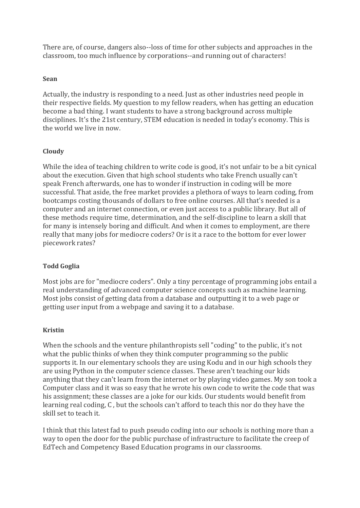There are, of course, dangers also--loss of time for other subjects and approaches in the classroom, too much influence by corporations--and running out of characters!

#### **Sean**

Actually, the industry is responding to a need. Just as other industries need people in their respective fields. My question to my fellow readers, when has getting an education become a bad thing. I want students to have a strong background across multiple disciplines. It's the 21st century, STEM education is needed in today's economy. This is the world we live in now.

#### **Cloudy**

While the idea of teaching children to write code is good, it's not unfair to be a bit cynical about the execution. Given that high school students who take French usually can't speak French afterwards, one has to wonder if instruction in coding will be more successful. That aside, the free market provides a plethora of ways to learn coding, from bootcamps costing thousands of dollars to free online courses. All that's needed is a computer and an internet connection, or even just access to a public library. But all of these methods require time, determination, and the self-discipline to learn a skill that for many is intensely boring and difficult. And when it comes to employment, are there really that many jobs for mediocre coders? Or is it a race to the bottom for ever lower piecework rates?

#### **Todd Goglia**

Most jobs are for "mediocre coders". Only a tiny percentage of programming jobs entail a real understanding of advanced computer science concepts such as machine learning. Most jobs consist of getting data from a database and outputting it to a web page or getting user input from a webpage and saving it to a database.

#### **Kristin**

When the schools and the venture philanthropists sell "coding" to the public, it's not what the public thinks of when they think computer programming so the public supports it. In our elementary schools they are using Kodu and in our high schools they are using Python in the computer science classes. These aren't teaching our kids anything that they can't learn from the internet or by playing video games. My son took a Computer class and it was so easy that he wrote his own code to write the code that was his assignment; these classes are a joke for our kids. Our students would benefit from learning real coding, C , but the schools can't afford to teach this nor do they have the skill set to teach it.

I think that this latest fad to push pseudo coding into our schools is nothing more than a way to open the door for the public purchase of infrastructure to facilitate the creep of EdTech and Competency Based Education programs in our classrooms.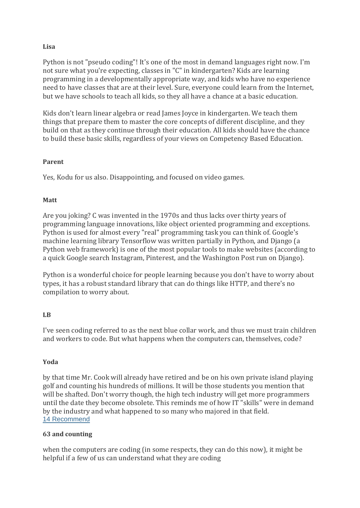#### **Lisa**

Python is not "pseudo coding"! It's one of the most in demand languages right now. I'm not sure what you're expecting, classes in "C" in kindergarten? Kids are learning programming in a developmentally appropriate way, and kids who have no experience need to have classes that are at their level. Sure, everyone could learn from the Internet, but we have schools to teach all kids, so they all have a chance at a basic education.

Kids don't learn linear algebra or read James Joyce in kindergarten. We teach them things that prepare them to master the core concepts of different discipline, and they build on that as they continue through their education. All kids should have the chance to build these basic skills, regardless of your views on Competency Based Education.

#### **Parent**

Yes, Kodu for us also. Disappointing, and focused on video games.

#### **Matt**

Are you joking? C was invented in the 1970s and thus lacks over thirty years of programming language innovations, like object oriented programming and exceptions. Python is used for almost every "real" programming task you can think of. Google's machine learning library Tensorflow was written partially in Python, and Django (a Python web framework) is one of the most popular tools to make websites (according to a quick Google search Instagram, Pinterest, and the Washington Post run on Django).

Python is a wonderful choice for people learning because you don't have to worry about types, it has a robust standard library that can do things like HTTP, and there's no compilation to worry about.

#### **LB**

I've seen coding referred to as the next blue collar work, and thus we must train children and workers to code. But what happens when the computers can, themselves, code?

#### **Yoda**

by that time Mr. Cook will already have retired and be on his own private island playing golf and counting his hundreds of millions. It will be those students you mention that will be shafted. Don't worry though, the high tech industry will get more programmers until the date they become obsolete. This reminds me of how IT "skills" were in demand by the industry and what happened to so many who majored in that field. 14 [Recommend](https://myaccount.nytimes.com/auth/login?response_type=cookie&client_id=vi)

#### **63 and counting**

when the computers are coding (in some respects, they can do this now), it might be helpful if a few of us can understand what they are coding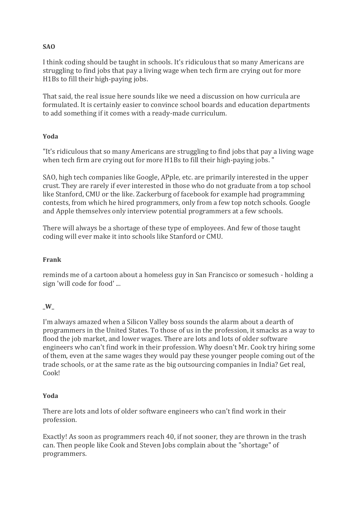# **SAO**

I think coding should be taught in schools. It's ridiculous that so many Americans are struggling to find jobs that pay a living wage when tech firm are crying out for more H1Bs to fill their high-paying jobs.

That said, the real issue here sounds like we need a discussion on how curricula are formulated. It is certainly easier to convince school boards and education departments to add something if it comes with a ready-made curriculum.

# **Yoda**

"It's ridiculous that so many Americans are struggling to find jobs that pay a living wage when tech firm are crying out for more H1Bs to fill their high-paying jobs. "

SAO, high tech companies like Google, APple, etc. are primarily interested in the upper crust. They are rarely if ever interested in those who do not graduate from a top school like Stanford, CMU or the like. Zackerburg of facebook for example had programming contests, from which he hired programmers, only from a few top notch schools. Google and Apple themselves only interview potential programmers at a few schools.

There will always be a shortage of these type of employees. And few of those taught coding will ever make it into schools like Stanford or CMU.

# **Frank**

reminds me of a cartoon about a homeless guy in San Francisco or somesuch - holding a sign 'will code for food' ...

# **\_W\_**

I'm always amazed when a Silicon Valley boss sounds the alarm about a dearth of programmers in the United States. To those of us in the profession, it smacks as a way to flood the job market, and lower wages. There are lots and lots of older software engineers who can't find work in their profession. Why doesn't Mr. Cook try hiring some of them, even at the same wages they would pay these younger people coming out of the trade schools, or at the same rate as the big outsourcing companies in India? Get real, Cook!

#### **Yoda**

There are lots and lots of older software engineers who can't find work in their profession.

Exactly! As soon as programmers reach 40, if not sooner, they are thrown in the trash can. Then people like Cook and Steven Jobs complain about the "shortage" of programmers.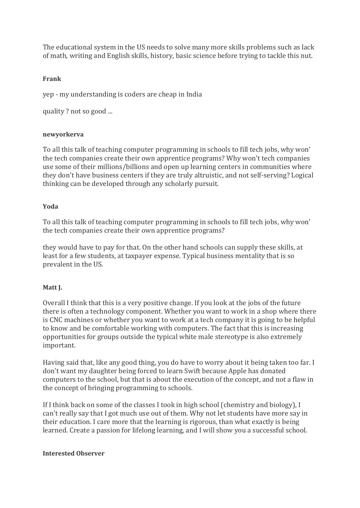The educational system in the US needs to solve many more skills problems such as lack of math, writing and English skills, history, basic science before trying to tackle this nut.

# **Frank**

yep - my understanding is coders are cheap in India

quality ? not so good ...

#### **newyorkerva**

To all this talk of teaching computer programming in schools to fill tech jobs, why won' the tech companies create their own apprentice programs? Why won't tech companies use some of their millions/billions and open up learning centers in communities where they don't have business centers if they are truly altruistic, and not self-serving? Logical thinking can be developed through any scholarly pursuit.

#### **Yoda**

To all this talk of teaching computer programming in schools to fill tech jobs, why won' the tech companies create their own apprentice programs?

they would have to pay for that. On the other hand schools can supply these skills, at least for a few students, at taxpayer expense. Typical business mentality that is so prevalent in the US.

#### **Matt J.**

Overall I think that this is a very positive change. If you look at the jobs of the future there is often a technology component. Whether you want to work in a shop where there is CNC machines or whether you want to work at a tech company it is going to be helpful to know and be comfortable working with computers. The fact that this is increasing opportunities for groups outside the typical white male stereotype is also extremely important.

Having said that, like any good thing, you do have to worry about it being taken too far. I don't want my daughter being forced to learn Swift because Apple has donated computers to the school, but that is about the execution of the concept, and not a flaw in the concept of bringing programming to schools.

If I think back on some of the classes I took in high school (chemistry and biology), I can't really say that I got much use out of them. Why not let students have more say in their education. I care more that the learning is rigorous, than what exactly is being learned. Create a passion for lifelong learning, and I will show you a successful school.

#### **Interested Observer**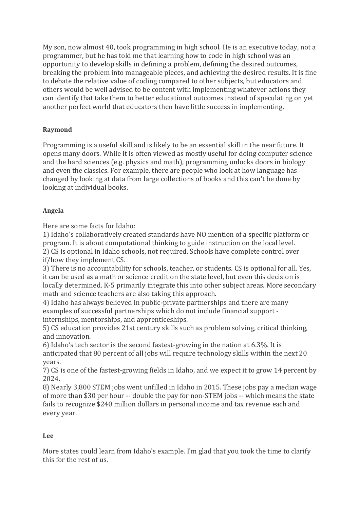My son, now almost 40, took programming in high school. He is an executive today, not a programmer, but he has told me that learning how to code in high school was an opportunity to develop skills in defining a problem, defining the desired outcomes, breaking the problem into manageable pieces, and achieving the desired results. It is fine to debate the relative value of coding compared to other subjects, but educators and others would be well advised to be content with implementing whatever actions they can identify that take them to better educational outcomes instead of speculating on yet another perfect world that educators then have little success in implementing.

# **Raymond**

Programming is a useful skill and is likely to be an essential skill in the near future. It opens many doors. While it is often viewed as mostly useful for doing computer science and the hard sciences (e.g. physics and math), programming unlocks doors in biology and even the classics. For example, there are people who look at how language has changed by looking at data from large collections of books and this can't be done by looking at individual books.

# **Angela**

Here are some facts for Idaho:

1) Idaho's collaboratively created standards have NO mention of a specific platform or program. It is about computational thinking to guide instruction on the local level. 2) CS is optional in Idaho schools, not required. Schools have complete control over if/how they implement CS.

3) There is no accountability for schools, teacher, or students. CS is optional for all. Yes, it can be used as a math or science credit on the state level, but even this decision is locally determined. K-5 primarily integrate this into other subject areas. More secondary math and science teachers are also taking this approach.

4) Idaho has always believed in public-private partnerships and there are many examples of successful partnerships which do not include financial support internships, mentorships, and apprenticeships.

5) CS education provides 21st century skills such as problem solving, critical thinking, and innovation.

6) Idaho's tech sector is the second fastest-growing in the nation at 6.3%. It is anticipated that 80 percent of all jobs will require technology skills within the next 20 years.

7) CS is one of the fastest-growing fields in Idaho, and we expect it to grow 14 percent by 2024.

8) Nearly 3,800 STEM jobs went unfilled in Idaho in 2015. These jobs pay a median wage of more than \$30 per hour -- double the pay for non-STEM jobs -- which means the state fails to recognize \$240 million dollars in personal income and tax revenue each and every year.

# **Lee**

More states could learn from Idaho's example. I'm glad that you took the time to clarify this for the rest of us.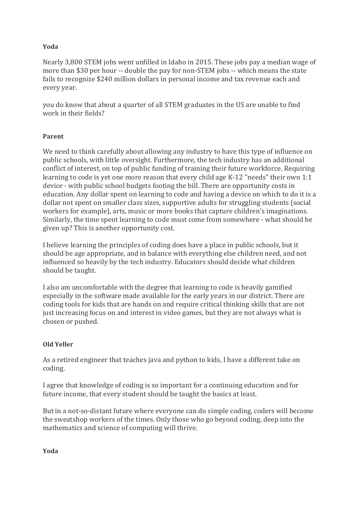#### **Yoda**

Nearly 3,800 STEM jobs went unfilled in Idaho in 2015. These jobs pay a median wage of more than \$30 per hour -- double the pay for non-STEM jobs -- which means the state fails to recognize \$240 million dollars in personal income and tax revenue each and every year.

you do know that about a quarter of all STEM graduates in the US are unable to find work in their fields?

#### **Parent**

We need to think carefully about allowing any industry to have this type of influence on public schools, with little oversight. Furthermore, the tech industry has an additional conflict of interest, on top of public funding of training their future workforce. Requiring learning to code is yet one more reason that every child age K-12 "needs" their own 1:1 device - with public school budgets footing the bill. There are opportunity costs in education. Any dollar spent on learning to code and having a device on which to do it is a dollar not spent on smaller class sizes, supportive adults for struggling students (social workers for example), arts, music or more books that capture children's imaginations. Similarly, the time spent learning to code must come from somewhere - what should be given up? This is another opportunity cost.

I believe learning the principles of coding does have a place in public schools, but it should be age appropriate, and in balance with everything else children need, and not influenced so heavily by the tech industry. Educators should decide what children should be taught.

I also am uncomfortable with the degree that learning to code is heavily gamified especially in the software made available for the early years in our district. There are coding tools for kids that are hands on and require critical thinking skills that are not just increasing focus on and interest in video games, but they are not always what is chosen or pushed.

#### **Old Yeller**

As a retired engineer that teaches java and python to kids, I have a different take on coding.

I agree that knowledge of coding is so important for a continuing education and for future income, that every student should be taught the basics at least.

But in a not-so-distant future where everyone can do simple coding, coders will become the sweatshop workers of the times. Only those who go beyond coding, deep into the mathematics and science of computing will thrive.

**Yoda**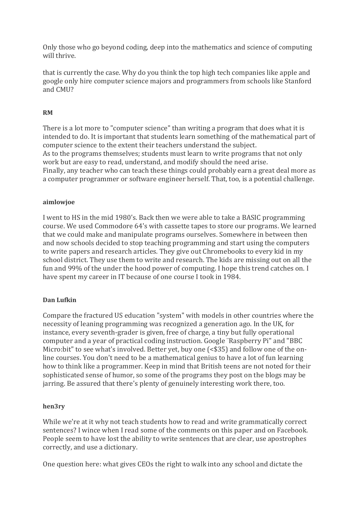Only those who go beyond coding, deep into the mathematics and science of computing will thrive.

that is currently the case. Why do you think the top high tech companies like apple and google only hire computer science majors and programmers from schools like Stanford and CMU?

# **RM**

There is a lot more to "computer science" than writing a program that does what it is intended to do. It is important that students learn something of the mathematical part of computer science to the extent their teachers understand the subject. As to the programs themselves; students must learn to write programs that not only work but are easy to read, understand, and modify should the need arise. Finally, any teacher who can teach these things could probably earn a great deal more as a computer programmer or software engineer herself. That, too, is a potential challenge.

#### **aimlowjoe**

I went to HS in the mid 1980's. Back then we were able to take a BASIC programming course. We used Commodore 64's with cassette tapes to store our programs. We learned that we could make and manipulate programs ourselves. Somewhere in between then and now schools decided to stop teaching programming and start using the computers to write papers and research articles. They give out Chromebooks to every kid in my school district. They use them to write and research. The kids are missing out on all the fun and 99% of the under the hood power of computing. I hope this trend catches on. I have spent my career in IT because of one course I took in 1984.

#### **Dan Lufkin**

Compare the fractured US education "system" with models in other countries where the necessity of leaning programming was recognized a generation ago. In the UK, for instance, every seventh-grader is given, free of charge, a tiny but fully operational computer and a year of practical coding instruction. Google ¨Raspberry Pi" and "BBC Micro:bit" to see what's involved. Better yet, buy one (<\$35) and follow one of the online courses. You don't need to be a mathematical genius to have a lot of fun learning how to think like a programmer. Keep in mind that British teens are not noted for their sophisticated sense of humor, so some of the programs they post on the blogs may be jarring. Be assured that there's plenty of genuinely interesting work there, too.

#### **hen3ry**

While we're at it why not teach students how to read and write grammatically correct sentences? I wince when I read some of the comments on this paper and on Facebook. People seem to have lost the ability to write sentences that are clear, use apostrophes correctly, and use a dictionary.

One question here: what gives CEOs the right to walk into any school and dictate the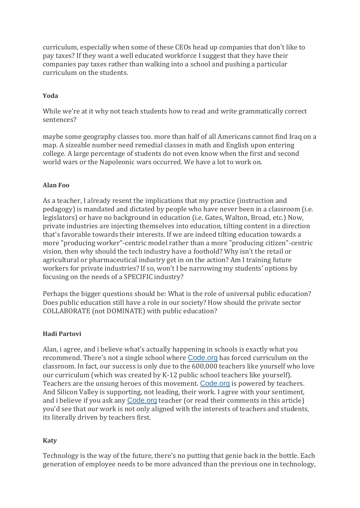curriculum, especially when some of these CEOs head up companies that don't like to pay taxes? If they want a well educated workforce I suggest that they have their companies pay taxes rather than walking into a school and pushing a particular curriculum on the students.

# **Yoda**

While we're at it why not teach students how to read and write grammatically correct sentences?

maybe some geography classes too. more than half of all Americans cannot find Iraq on a map. A sizeable number need remedial classes in math and English upon entering college. A large percentage of students do not even know when the first and second world wars or the Napoleonic wars occurred. We have a lot to work on.

#### **Alan Foo**

As a teacher, I already resent the implications that my practice (instruction and pedagogy) is mandated and dictated by people who have never been in a classroom (i.e. legislators) or have no background in education (i.e. Gates, Walton, Broad, etc.) Now, private industries are injecting themselves into education, tilting content in a direction that's favorable towards their interests. If we are indeed tilting education towards a more "producing worker"-centric model rather than a more "producing citizen"-centric vision, then why should the tech industry have a foothold? Why isn't the retail or agricultural or pharmaceutical industry get in on the action? Am I training future workers for private industries? If so, won't I be narrowing my students' options by focusing on the needs of a SPECIFIC industry?

Perhaps the bigger questions should be: What is the role of universal public education? Does public education still have a role in our society? How should the private sector COLLABORATE (not DOMINATE) with public education?

#### **Hadi Partovi**

Alan, i agree, and i believe what's actually happening in schools is exactly what you recommend. There's not a single school where [Code.org](http://code.org/) has forced curriculum on the classroom. In fact, our success is only due to the 600,000 teachers like yourself who love our curriculum (which was created by K-12 public school teachers like yourself). Teachers are the unsung heroes of this movement. [Code.org](http://code.org/) is powered by teachers. And Silicon Valley is supporting, not leading, their work. I agree with your sentiment, and i believe if you ask any [Code.org](http://code.org/) teacher (or read their comments in this article) you'd see that our work is not only aligned with the interests of teachers and students, its literally driven by teachers first.

#### **Katy**

Technology is the way of the future, there's no putting that genie back in the bottle. Each generation of employee needs to be more advanced than the previous one in technology,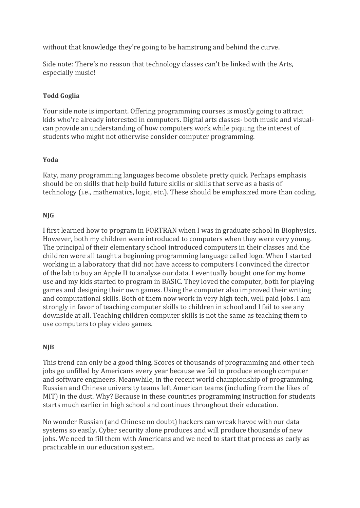without that knowledge they're going to be hamstrung and behind the curve.

Side note: There's no reason that technology classes can't be linked with the Arts, especially music!

# **Todd Goglia**

Your side note is important. Offering programming courses is mostly going to attract kids who're already interested in computers. Digital arts classes- both music and visualcan provide an understanding of how computers work while piquing the interest of students who might not otherwise consider computer programming.

# **Yoda**

Katy, many programming languages become obsolete pretty quick. Perhaps emphasis should be on skills that help build future skills or skills that serve as a basis of technology (i.e., mathematics, logic, etc.). These should be emphasized more than coding.

# **NJG**

I first learned how to program in FORTRAN when I was in graduate school in Biophysics. However, both my children were introduced to computers when they were very young. The principal of their elementary school introduced computers in their classes and the children were all taught a beginning programming language called logo. When I started working in a laboratory that did not have access to computers I convinced the director of the lab to buy an Apple II to analyze our data. I eventually bought one for my home use and my kids started to program in BASIC. They loved the computer, both for playing games and designing their own games. Using the computer also improved their writing and computational skills. Both of them now work in very high tech, well paid jobs. I am strongly in favor of teaching computer skills to children in school and I fail to see any downside at all. Teaching children computer skills is not the same as teaching them to use computers to play video games.

# **NJB**

This trend can only be a good thing. Scores of thousands of programming and other tech jobs go unfilled by Americans every year because we fail to produce enough computer and software engineers. Meanwhile, in the recent world championship of programming, Russian and Chinese university teams left American teams (including from the likes of MIT) in the dust. Why? Because in these countries programming instruction for students starts much earlier in high school and continues throughout their education.

No wonder Russian (and Chinese no doubt) hackers can wreak havoc with our data systems so easily. Cyber security alone produces and will produce thousands of new jobs. We need to fill them with Americans and we need to start that process as early as practicable in our education system.